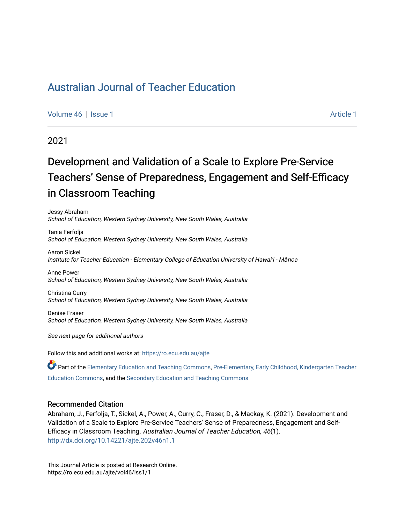[Volume 46](https://ro.ecu.edu.au/ajte/vol46) | [Issue 1](https://ro.ecu.edu.au/ajte/vol46/iss1) [Article 1](https://ro.ecu.edu.au/ajte/vol46/iss1/1) Article 1 Article 1 Article 1 Article 1 Article 1 Article 1 Article 1

# 2021

# Development and Validation of a Scale to Explore Pre-Service Teachers' Sense of Preparedness, Engagement and Self-Efficacy in Classroom Teaching

Jessy Abraham School of Education, Western Sydney University, New South Wales, Australia

Tania Ferfolja School of Education, Western Sydney University, New South Wales, Australia

Aaron Sickel Institute for Teacher Education - Elementary College of Education University of Hawai'i - Mānoa

Anne Power School of Education, Western Sydney University, New South Wales, Australia

Christina Curry School of Education, Western Sydney University, New South Wales, Australia

Denise Fraser School of Education, Western Sydney University, New South Wales, Australia

See next page for additional authors

Follow this and additional works at: [https://ro.ecu.edu.au/ajte](https://ro.ecu.edu.au/ajte?utm_source=ro.ecu.edu.au%2Fajte%2Fvol46%2Fiss1%2F1&utm_medium=PDF&utm_campaign=PDFCoverPages) 

Part of the [Elementary Education and Teaching Commons,](http://network.bepress.com/hgg/discipline/805?utm_source=ro.ecu.edu.au%2Fajte%2Fvol46%2Fiss1%2F1&utm_medium=PDF&utm_campaign=PDFCoverPages) [Pre-Elementary, Early Childhood, Kindergarten Teacher](http://network.bepress.com/hgg/discipline/808?utm_source=ro.ecu.edu.au%2Fajte%2Fvol46%2Fiss1%2F1&utm_medium=PDF&utm_campaign=PDFCoverPages) [Education Commons,](http://network.bepress.com/hgg/discipline/808?utm_source=ro.ecu.edu.au%2Fajte%2Fvol46%2Fiss1%2F1&utm_medium=PDF&utm_campaign=PDFCoverPages) and the [Secondary Education and Teaching Commons](http://network.bepress.com/hgg/discipline/809?utm_source=ro.ecu.edu.au%2Fajte%2Fvol46%2Fiss1%2F1&utm_medium=PDF&utm_campaign=PDFCoverPages) 

# Recommended Citation

Abraham, J., Ferfolja, T., Sickel, A., Power, A., Curry, C., Fraser, D., & Mackay, K. (2021). Development and Validation of a Scale to Explore Pre-Service Teachers' Sense of Preparedness, Engagement and Self-Efficacy in Classroom Teaching. Australian Journal of Teacher Education, 46(1). <http://dx.doi.org/10.14221/ajte.202v46n1.1>

This Journal Article is posted at Research Online. https://ro.ecu.edu.au/ajte/vol46/iss1/1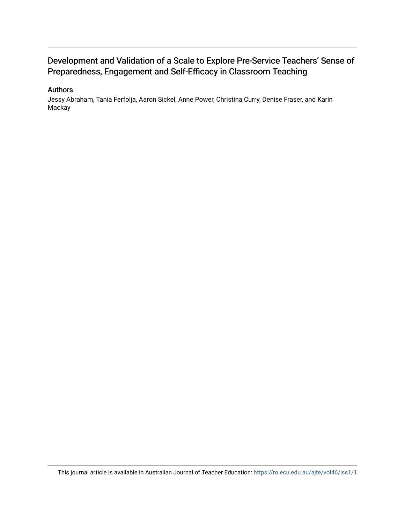# Development and Validation of a Scale to Explore Pre-Service Teachers' Sense of Preparedness, Engagement and Self-Efficacy in Classroom Teaching

# Authors

Jessy Abraham, Tania Ferfolja, Aaron Sickel, Anne Power, Christina Curry, Denise Fraser, and Karin Mackay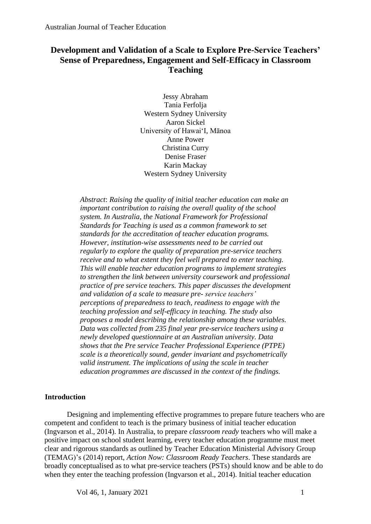# **Development and Validation of a Scale to Explore Pre-Service Teachers' Sense of Preparedness, Engagement and Self-Efficacy in Classroom Teaching**

Jessy Abraham Tania Ferfolja Western Sydney University Aaron Sickel University of Hawai'I, Mānoa Anne Power Christina Curry Denise Fraser Karin Mackay Western Sydney University

*Abstract*: *Raising the quality of initial teacher education can make an important contribution to raising the overall quality of the school system. In Australia, the National Framework for Professional Standards for Teaching is used as a common framework to set standards for the accreditation of teacher education programs. However, institution-wise assessments need to be carried out regularly to explore the quality of preparation pre-service teachers receive and to what extent they feel well prepared to enter teaching. This will enable teacher education programs to implement strategies to strengthen the link between university coursework and professional practice of pre service teachers. This paper discusses the development and validation of a scale to measure pre- service teachers' perceptions of preparedness to teach, readiness to engage with the teaching profession and self-efficacy in teaching. The study also proposes a model describing the relationship among these variables. Data was collected from 235 final year pre-service teachers using a newly developed questionnaire at an Australian university. Data shows that the Pre service Teacher Professional Experience (PTPE) scale is a theoretically sound, gender invariant and psychometrically valid instrument. The implications of using the scale in teacher education programmes are discussed in the context of the findings.*

# **Introduction**

Designing and implementing effective programmes to prepare future teachers who are competent and confident to teach is the primary business of initial teacher education (Ingvarson et al., 2014). In Australia, to prepare *classroom ready* teachers who will make a positive impact on school student learning, every teacher education programme must meet clear and rigorous standards as outlined by Teacher Education Ministerial Advisory Group (TEMAG)'s (2014) report, *Action Now: Classroom Ready Teachers*. These standards are broadly conceptualised as to what pre-service teachers (PSTs) should know and be able to do when they enter the teaching profession (Ingvarson et al., 2014). Initial teacher education

 $Vol$  46, 1, January 2021 1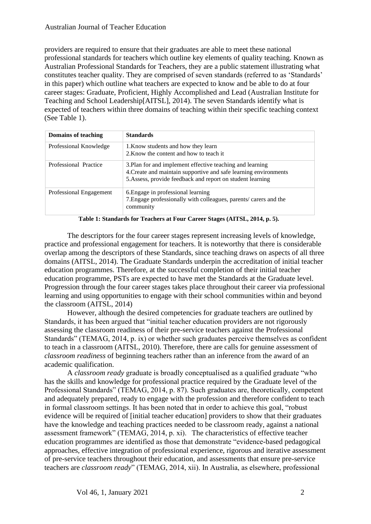providers are required to ensure that their graduates are able to meet these national professional standards for teachers which outline key elements of quality teaching. Known as Australian Professional Standards for Teachers, they are a public statement illustrating what constitutes teacher quality. They are comprised of seven standards (referred to as 'Standards' in this paper) which outline what teachers are expected to know and be able to do at four career stages: Graduate, Proficient, Highly Accomplished and Lead (Australian Institute for Teaching and School Leadership[AITSL], 2014). The seven Standards identify what is expected of teachers within three domains of teaching within their specific teaching context (See Table 1).

| Domains of teaching     | <b>Standards</b>                                                                                                                                                                            |
|-------------------------|---------------------------------------------------------------------------------------------------------------------------------------------------------------------------------------------|
| Professional Knowledge  | 1. Know students and how they learn<br>2. Know the content and how to teach it                                                                                                              |
| Professional Practice   | 3. Plan for and implement effective teaching and learning<br>4. Create and maintain supportive and safe learning environments<br>5. Assess, provide feedback and report on student learning |
| Professional Engagement | 6. Engage in professional learning<br>7. Engage professionally with colleagues, parents/carers and the<br>community                                                                         |

**Table 1: Standards for Teachers at Four Career Stages (AITSL, 2014, p. 5).**

The descriptors for the four career stages represent increasing levels of knowledge, practice and professional engagement for teachers. It is noteworthy that there is considerable overlap among the descriptors of these Standards, since teaching draws on aspects of all three domains (AITSL, 2014). The Graduate Standards underpin the accreditation of initial teacher education programmes. Therefore, at the successful completion of their initial teacher education programme, PSTs are expected to have met the Standards at the Graduate level. Progression through the four career stages takes place throughout their career via professional learning and using opportunities to engage with their school communities within and beyond the classroom (AITSL, 2014)

However, although the desired competencies for graduate teachers are outlined by Standards, it has been argued that "initial teacher education providers are not rigorously assessing the classroom readiness of their pre-service teachers against the Professional Standards" (TEMAG, 2014, p. ix) or whether such graduates perceive themselves as confident to teach in a classroom (AITSL, 2010). Therefore, there are calls for genuine assessment of *classroom readiness* of beginning teachers rather than an inference from the award of an academic qualification.

A *classroom ready* graduate is broadly conceptualised as a qualified graduate "who has the skills and knowledge for professional practice required by the Graduate level of the Professional Standards" (TEMAG, 2014, p. 87). Such graduates are, theoretically, competent and adequately prepared, ready to engage with the profession and therefore confident to teach in formal classroom settings. It has been noted that in order to achieve this goal, "robust evidence will be required of [initial teacher education] providers to show that their graduates have the knowledge and teaching practices needed to be classroom ready, against a national assessment framework" (TEMAG, 2014, p. xi). The characteristics of effective teacher education programmes are identified as those that demonstrate "evidence-based pedagogical approaches, effective integration of professional experience, rigorous and iterative assessment of pre-service teachers throughout their education, and assessments that ensure pre-service teachers are *classroom ready*" (TEMAG, 2014, xii). In Australia, as elsewhere, professional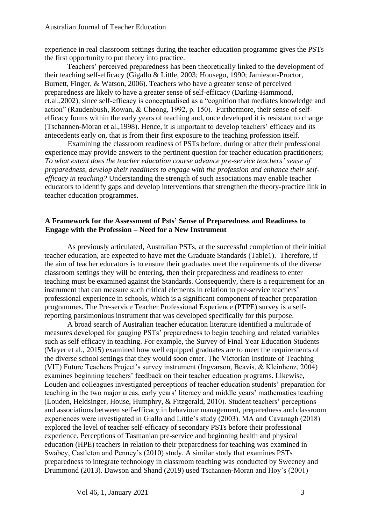experience in real classroom settings during the teacher education programme gives the PSTs the first opportunity to put theory into practice.

Teachers' perceived preparedness has been theoretically linked to the development of their teaching self-efficacy (Gigallo & Little, 2003; Housego, 1990; Jamieson-Proctor, Burnett, Finger, & Watson, 2006). Teachers who have a greater sense of perceived preparedness are likely to have a greater sense of self-efficacy (Darling-Hammond, et.al.,2002), since self-efficacy is conceptualised as a "cognition that mediates knowledge and action" (Raudenbush, Rowan, & Cheong, 1992, p. 150). Furthermore, their sense of selfefficacy forms within the early years of teaching and, once developed it is resistant to change (Tschannen-Moran et al.,1998). Hence, it is important to develop teachers' efficacy and its antecedents early on, that is from their first exposure to the teaching profession itself.

Examining the classroom readiness of PSTs before, during or after their professional experience may provide answers to the pertinent question for teacher education practitioners; *To what extent does the teacher education course advance pre-service teachers' sense of preparedness, develop their readiness to engage with the profession and enhance their selfefficacy in teaching?* Understanding the strength of such associations may enable teacher educators to identify gaps and develop interventions that strengthen the theory-practice link in teacher education programmes.

# **A Framework for the Assessment of Psts' Sense of Preparedness and Readiness to Engage with the Profession – Need for a New Instrument**

As previously articulated, Australian PSTs, at the successful completion of their initial teacher education, are expected to have met the Graduate Standards (Table1). Therefore, if the aim of teacher educators is to ensure their graduates meet the requirements of the diverse classroom settings they will be entering, then their preparedness and readiness to enter teaching must be examined against the Standards. Consequently, there is a requirement for an instrument that can measure such critical elements in relation to pre-service teachers' professional experience in schools, which is a significant component of teacher preparation programmes. The Pre-service Teacher Professional Experience (PTPE) survey is a selfreporting parsimonious instrument that was developed specifically for this purpose.

A broad search of Australian teacher education literature identified a multitude of measures developed for gauging PSTs' preparedness to begin teaching and related variables such as self-efficacy in teaching. For example, the Survey of Final Year Education Students (Mayer et al., 2015) examined how well equipped graduates are to meet the requirements of the diverse school settings that they would soon enter. The Victorian Institute of Teaching (VIT) Future Teachers Project's survey instrument (Ingvarson, Beavis, & Kleinhenz, 2004) examines beginning teachers' feedback on their teacher education programs. Likewise, Louden and colleagues investigated perceptions of teacher education students' preparation for teaching in the two major areas, early years' literacy and middle years' mathematics teaching (Louden, Heldsinger, House, Humphry, & Fitzgerald, 2010). Student teachers' perceptions and associations between self-efficacy in behaviour management, preparedness and classroom experiences were investigated in Giallo and Little's study (2003). MA and Cavanagh (2018) explored the level of teacher self-efficacy of secondary PSTs before their professional experience. Perceptions of Tasmanian pre-service and beginning health and physical education (HPE) teachers in relation to their preparedness for teaching was examined in Swabey, Castleton and Penney's (2010) study. A similar study that examines PSTs preparedness to integrate technology in classroom teaching was conducted by Sweeney and Drummond (2013). Dawson and Shand (2019) used Tschannen-Moran and Hoy's (2001)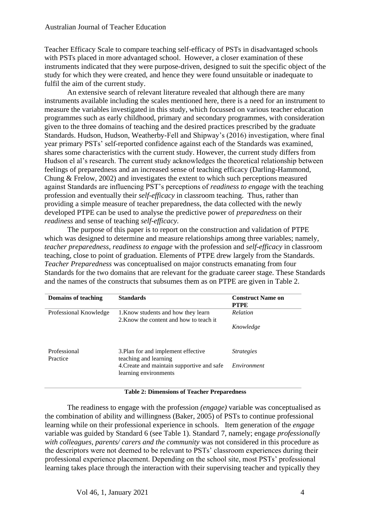Teacher Efficacy Scale to compare teaching self-efficacy of PSTs in disadvantaged schools with PSTs placed in more advantaged school. However, a closer examination of these instruments indicated that they were purpose-driven, designed to suit the specific object of the study for which they were created, and hence they were found unsuitable or inadequate to fulfil the aim of the current study.

An extensive search of relevant literature revealed that although there are many instruments available including the scales mentioned here, there is a need for an instrument to measure the variables investigated in this study, which focussed on various teacher education programmes such as early childhood, primary and secondary programmes, with consideration given to the three domains of teaching and the desired practices prescribed by the graduate Standards. Hudson, Hudson, Weatherby-Fell and Shipway's (2016) investigation, where final year primary PSTs' self-reported confidence against each of the Standards was examined, shares some characteristics with the current study. However, the current study differs from Hudson el al's research. The current study acknowledges the theoretical relationship between feelings of preparedness and an increased sense of teaching efficacy (Darling-Hammond, Chung & Frelow, 2002) and investigates the extent to which such perceptions measured against Standards are influencing PST's perceptions of *readiness to engage* with the teaching profession and eventually their *self-efficacy* in classroom teaching. Thus, rather than providing a simple measure of teacher preparedness, the data collected with the newly developed PTPE can be used to analyse the predictive power of *preparedness* on their *readiness* and sense of teaching *self-efficacy.*

The purpose of this paper is to report on the construction and validation of PTPE which was designed to determine and measure relationships among three variables; namely, *teacher preparedness*, *readiness to engage* with the profession and *self-efficacy* in classroom teaching, close to point of graduation. Elements of PTPE drew largely from the Standards. *Teacher Preparedness* was conceptualised on major constructs emanating from four Standards for the two domains that are relevant for the graduate career stage. These Standards and the names of the constructs that subsumes them as on PTPE are given in Table 2.

| Domains of teaching      | <b>Standards</b>                                                               | <b>Construct Name on</b><br><b>PTPE</b> |
|--------------------------|--------------------------------------------------------------------------------|-----------------------------------------|
| Professional Knowledge   | 1. Know students and how they learn<br>2. Know the content and how to teach it | <b>Relation</b>                         |
|                          |                                                                                | Knowledge                               |
| Professional<br>Practice | 3. Plan for and implement effective<br>teaching and learning                   | <i>Strategies</i>                       |
|                          | 4. Create and maintain supportive and safe<br>learning environments            | Environment                             |

**Table 2: Dimensions of Teacher Preparedness**

The readiness to engage with the profession *(engage)* variable was conceptualised as the combination of ability and willingness (Baker, 2005) of PSTs to continue professional learning while on their professional experience in schools. Item generation of the *engage* variable was guided by Standard 6 (see Table 1). Standard 7, namely; engage *professionally with colleagues, parents/ carers and the community* was not considered in this procedure as the descriptors were not deemed to be relevant to PSTs' classroom experiences during their professional experience placement. Depending on the school site, most PSTs' professional learning takes place through the interaction with their supervising teacher and typically they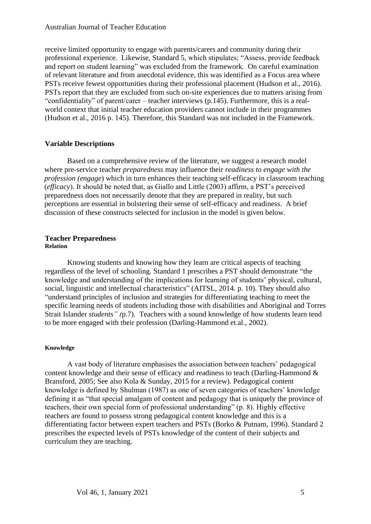receive limited opportunity to engage with parents/carers and community during their professional experience. Likewise, Standard 5, which stipulates; "Assess, provide feedback and report on student learning" was excluded from the framework. On careful examination of relevant literature and from anecdotal evidence, this was identified as a Focus area where PSTs receive fewest opportunities during their professional placement (Hudson et al., 2016). PSTs report that they are excluded from such on-site experiences due to matters arising from "confidentiality" of parent/carer – teacher interviews (p.145). Furthermore, this is a realworld context that initial teacher education providers cannot include in their programmes (Hudson et al., 2016 p. 145). Therefore, this Standard was not included in the Framework.

# **Variable Descriptions**

Based on a comprehensive review of the literature, we suggest a research model where pre-service teacher *preparedness* may influence their *readiness to engage with the profession (engage*) which in turn enhances their teaching self-efficacy in classroom teaching (*efficacy*). It should be noted that, as Giallo and Little (2003) affirm, a PST's perceived preparedness does not necessarily denote that they are prepared in reality, but such perceptions are essential in bolstering their sense of self-efficacy and readiness. A brief discussion of these constructs selected for inclusion in the model is given below.

# **Teacher Preparedness Relation**

Knowing students and knowing how they learn are critical aspects of teaching regardless of the level of schooling. Standard 1 prescribes a PST should demonstrate "the knowledge and understanding of the implications for learning of students' physical, cultural, social, linguistic and intellectual characteristics" (AITSL, 2014. p. 10). They should also "understand principles of inclusion and strategies for differentiating teaching to meet the specific learning needs of students including those with disabilities and Aboriginal and Torres Strait Islander *students" (*p.7). Teachers with a sound knowledge of how students learn tend to be more engaged with their profession (Darling-Hammond et.al., 2002).

# **Knowledge**

A vast body of literature emphasises the association between teachers' pedagogical content knowledge and their sense of efficacy and readiness to teach (Darling-Hammond & Bransford, 2005; See also Kola & Sunday, 2015 for a review). Pedagogical content knowledge is defined by Shulman (1987) as one of seven categories of teachers' knowledge defining it as "that special amalgam of content and pedagogy that is uniquely the province of teachers, their own special form of professional understanding" (p. 8). Highly effective teachers are found to possess strong pedagogical content knowledge and this is a differentiating factor between expert teachers and PSTs (Borko & Putnam, 1996). Standard 2 prescribes the expected levels of PSTs knowledge of the content of their subjects and curriculum they are teaching.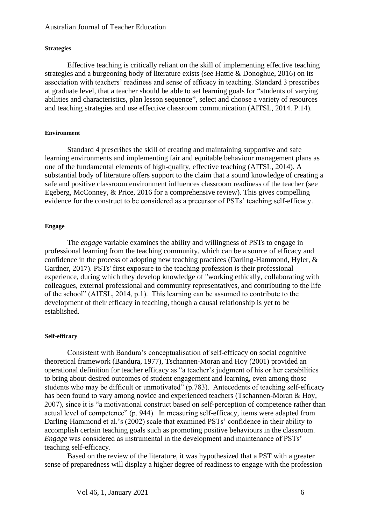#### **Strategies**

Effective teaching is critically reliant on the skill of implementing effective teaching strategies and a burgeoning body of literature exists (see Hattie & Donoghue, 2016) on its association with teachers' readiness and sense of efficacy in teaching. Standard 3 prescribes at graduate level, that a teacher should be able to set learning goals for "students of varying abilities and characteristics, plan lesson sequence", select and choose a variety of resources and teaching strategies and use effective classroom communication (AITSL, 2014. P.14).

# **Environment**

Standard 4 prescribes the skill of creating and maintaining supportive and safe learning environments and implementing fair and equitable behaviour management plans as one of the fundamental elements of high-quality, effective teaching (AITSL, 2014). A substantial body of literature offers support to the claim that a sound knowledge of creating a safe and positive classroom environment influences classroom readiness of the teacher (see Egeberg, McConney, & Price, 2016 for a comprehensive review). This gives compelling evidence for the construct to be considered as a precursor of PSTs' teaching self-efficacy.

#### **Engage**

The *engag*e variable examines the ability and willingness of PSTs to engage in professional learning from the teaching community, which can be a source of efficacy and confidence in the process of adopting new teaching practices (Darling-Hammond, Hyler, & Gardner, 2017). PSTs' first exposure to the teaching profession is their professional experience, during which they develop knowledge of "working ethically, collaborating with colleagues, external professional and community representatives, and contributing to the life of the school" (AITSL, 2014, p.1). This learning can be assumed to contribute to the development of their efficacy in teaching, though a causal relationship is yet to be established.

### **Self-efficacy**

Consistent with Bandura's conceptualisation of self-efficacy on social cognitive theoretical framework (Bandura, 1977), Tschannen-Moran and Hoy (2001) provided an operational definition for teacher efficacy as "a teacher's judgment of his or her capabilities to bring about desired outcomes of student engagement and learning, even among those students who may be difficult or unmotivated" (p.783). Antecedents of teaching self-efficacy has been found to vary among novice and experienced teachers (Tschannen-Moran & Hoy, 2007), since it is "a motivational construct based on self-perception of competence rather than actual level of competence" (p. 944). In measuring self-efficacy, items were adapted from Darling-Hammond et al.'s (2002) scale that examined PSTs' confidence in their ability to accomplish certain teaching goals such as promoting positive behaviours in the classroom. *Engage* was considered as instrumental in the development and maintenance of PSTs' teaching self-efficacy.

Based on the review of the literature, it was hypothesized that a PST with a greater sense of preparedness will display a higher degree of readiness to engage with the profession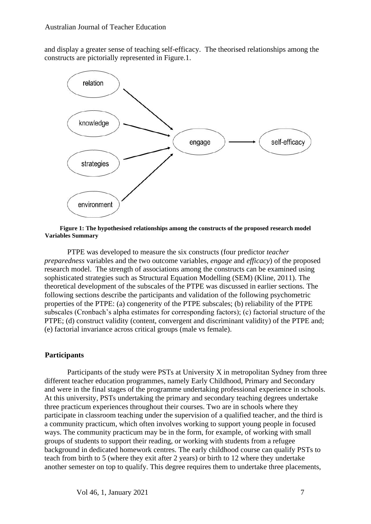and display a greater sense of teaching self-efficacy. The theorised relationships among the constructs are pictorially represented in Figure.1.



**Figure 1: The hypothesised relationships among the constructs of the proposed research model Variables Summary**

PTPE was developed to measure the six constructs (four predictor *teacher preparedness* variables and the two outcome variables, *engage* and *efficacy*) of the proposed research model. The strength of associations among the constructs can be examined using sophisticated strategies such as Structural Equation Modelling (SEM) (Kline, 2011). The theoretical development of the subscales of the PTPE was discussed in earlier sections. The following sections describe the participants and validation of the following psychometric properties of the PTPE: (a) congenerity of the PTPE subscales; (b) reliability of the PTPE subscales (Cronbach's alpha estimates for corresponding factors); (c) factorial structure of the PTPE; (d) construct validity (content, convergent and discriminant validity) of the PTPE and; (e) factorial invariance across critical groups (male vs female).

# **Participants**

Participants of the study were PSTs at University X in metropolitan Sydney from three different teacher education programmes, namely Early Childhood, Primary and Secondary and were in the final stages of the programme undertaking professional experience in schools. At this university, PSTs undertaking the primary and secondary teaching degrees undertake three practicum experiences throughout their courses. Two are in schools where they participate in classroom teaching under the supervision of a qualified teacher, and the third is a community practicum, which often involves working to support young people in focused ways. The community practicum may be in the form, for example, of working with small groups of students to support their reading, or working with students from a refugee background in dedicated homework centres. The early childhood course can qualify PSTs to teach from birth to 5 (where they exit after 2 years) or birth to 12 where they undertake another semester on top to qualify. This degree requires them to undertake three placements,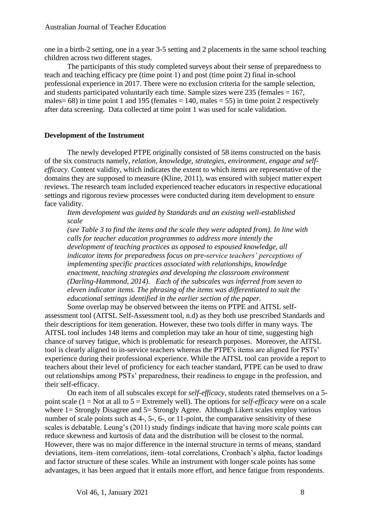one in a birth-2 setting, one in a year 3-5 setting and 2 placements in the same school teaching children across two different stages.

The participants of this study completed surveys about their sense of preparedness to teach and teaching efficacy pre (time point 1) and post (time point 2) final in-school professional experience in 2017. There were no exclusion criteria for the sample selection, and students participated voluntarily each time. Sample sizes were 235 (females  $= 167$ , males =  $68$ ) in time point 1 and 195 (females = 140, males =  $55$ ) in time point 2 respectively after data screening. Data collected at time point 1 was used for scale validation.

# **Development of the Instrument**

The newly developed PTPE originally consisted of 58 items constructed on the basis of the six constructs namely, *relation, knowledge, strategies, environment, engage and selfefficacy*. Content validity, which indicates the extent to which items are representative of the domains they are supposed to measure (Kline, 2011), was ensured with subject matter expert reviews. The research team included experienced teacher educators in respective educational settings and rigorous review processes were conducted during item development to ensure face validity.

*Item development was guided by Standards and an existing well-established scale* 

*(see Table 3 to find the items and the scale they were adapted from). In line with calls for teacher education programmes to address more intently the development of teaching practices as opposed to espoused knowledge, all indicator items for preparedness focus on pre-service teachers' perceptions of implementing specific practices associated with relationships, knowledge enactment, teaching strategies and developing the classroom environment (Darling-Hammond, 2014). Each of the subscales was inferred from seven to eleven indicator items. The phrasing of the items was differentiated to suit the educational settings identified in the earlier section of the paper.* 

Some overlap may be observed between the items on PTPE and AITSL selfassessment tool (AITSL Self-Assessment tool, n.d) as they both use prescribed Standards and their descriptions for item generation. However, these two tools differ in many ways. The AITSL tool includes 148 items and completion may take an hour of time, suggesting high chance of survey fatigue, which is problematic for research purposes. Moreover, the AITSL tool is clearly aligned to in-service teachers whereas the PTPE's items are aligned for PSTs' experience during their professional experience. While the AITSL tool can provide a report to teachers about their level of proficiency for each teacher standard, PTPE can be used to draw out relationships among PSTs' preparedness, their readiness to engage in the profession, and their self-efficacy.

On each item of all subscales except for *self-efficacy*, students rated themselves on a 5 point scale (1 = Not at all to 5 = Extremely well). The options for *self-efficacy* were on a scale where 1= Strongly Disagree and 5= Strongly Agree. Although Likert scales employ various number of scale points such as 4-, 5-, 6-, or 11-point, the comparative sensitivity of these scales is debatable. Leung's (2011) study findings indicate that having more scale points can reduce skewness and kurtosis of data and the distribution will be closest to the normal. However, there was no major difference in the internal structure in terms of means, standard deviations, item–item correlations, item–total correlations, Cronbach's alpha, factor loadings and factor structure of these scales. While an instrument with longer scale points has some advantages, it has been argued that it entails more effort, and hence fatigue from respondents.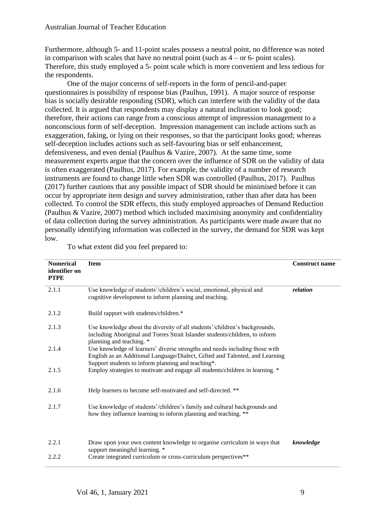Furthermore, although 5- and 11-point scales possess a neutral point, no difference was noted in comparison with scales that have no neutral point (such as  $4 - or 6$ - point scales). Therefore, this study employed a 5- point scale which is more convenient and less tedious for the respondents.

One of the major concerns of self-reports in the form of pencil-and-paper questionnaires is possibility of response bias (Paulhus, 1991). A major source of response bias is socially desirable responding (SDR), which can interfere with the validity of the data collected. It is argued that respondents may display a natural inclination to look good; therefore, their actions can range from a conscious attempt of impression management to a nonconscious form of self-deception. Impression management can include actions such as exaggeration, faking, or lying on their responses, so that the participant looks good; whereas self-deception includes actions such as self-favouring bias or self enhancement, defensiveness, and even denial (Paulhus & Vazire, 2007). At the same time, some measurement experts argue that the concern over the influence of SDR on the validity of data is often exaggerated (Paulhus, 2017). For example, the validity of a number of research instruments are found to change little when SDR was controlled (Paulhus, 2017). Paulhus (2017) further cautions that any possible impact of SDR should be minimised before it can occur by appropriate item design and survey administration, rather than after data has been collected. To control the SDR effects, this study employed approaches of Demand Reduction (Paulhus & Vazire, 2007) method which included maximising anonymity and confidentiality of data collection during the survey administration. As participants were made aware that no personally identifying information was collected in the survey, the demand for SDR was kept low.

| <b>Numerical</b><br>identifier on<br><b>PTPE</b> | <b>Item</b>                                                                                                                                                                                                       | <b>Construct name</b> |
|--------------------------------------------------|-------------------------------------------------------------------------------------------------------------------------------------------------------------------------------------------------------------------|-----------------------|
| 2.1.1                                            | Use knowledge of students'/children's social, emotional, physical and<br>cognitive development to inform planning and teaching.                                                                                   | relation              |
| 2.1.2                                            | Build rapport with students/children.*                                                                                                                                                                            |                       |
| 2.1.3                                            | Use knowledge about the diversity of all students'/children's backgrounds,<br>including Aboriginal and Torres Strait Islander students/children, to inform<br>planning and teaching. *                            |                       |
| 2.1.4                                            | Use knowledge of learners' diverse strengths and needs including those with<br>English as an Additional Language/Dialect, Gifted and Talented, and Learning<br>Support students to inform planning and teaching*. |                       |
| 2.1.5                                            | Employ strategies to motivate and engage all students/children in learning. *                                                                                                                                     |                       |
| 2.1.6                                            | Help learners to become self-motivated and self-directed. **                                                                                                                                                      |                       |
| 2.1.7                                            | Use knowledge of students'/children's family and cultural backgrounds and<br>how they influence learning to inform planning and teaching. **                                                                      |                       |
| 2.2.1                                            | Draw upon your own content knowledge to organise curriculum in ways that<br>support meaningful learning. *                                                                                                        | knowledge             |
| 2.2.2                                            | Create integrated curriculum or cross-curriculum perspectives**                                                                                                                                                   |                       |

To what extent did you feel prepared to: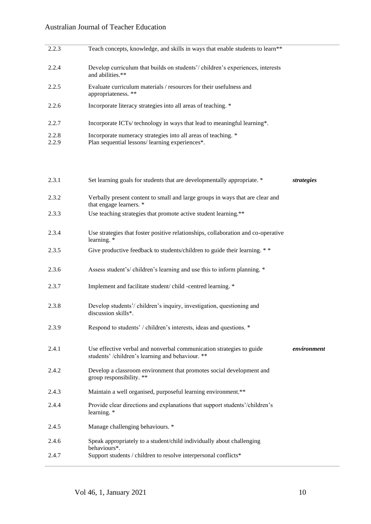| 2.2.3          | Teach concepts, knowledge, and skills in ways that enable students to learn**                                                |
|----------------|------------------------------------------------------------------------------------------------------------------------------|
| 2.2.4          | Develop curriculum that builds on students'/children's experiences, interests<br>and abilities.**                            |
| 2.2.5          | Evaluate curriculum materials / resources for their usefulness and<br>appropriateness. **                                    |
| 2.2.6          | Incorporate literacy strategies into all areas of teaching. *                                                                |
| 2.2.7          | Incorporate ICTs/ technology in ways that lead to meaningful learning*.                                                      |
| 2.2.8<br>2.2.9 | Incorporate numeracy strategies into all areas of teaching. *<br>Plan sequential lessons/learning experiences <sup>*</sup> . |
|                |                                                                                                                              |

| 2.3.1 | Set learning goals for students that are developmentally appropriate. *                                                  | strategies  |
|-------|--------------------------------------------------------------------------------------------------------------------------|-------------|
| 2.3.2 | Verbally present content to small and large groups in ways that are clear and<br>that engage learners. *                 |             |
| 2.3.3 | Use teaching strategies that promote active student learning.**                                                          |             |
| 2.3.4 | Use strategies that foster positive relationships, collaboration and co-operative<br>learning. *                         |             |
| 2.3.5 | Give productive feedback to students/children to guide their learning. **                                                |             |
| 2.3.6 | Assess student's/children's learning and use this to inform planning. *                                                  |             |
| 2.3.7 | Implement and facilitate student/child -centred learning. *                                                              |             |
| 2.3.8 | Develop students'/children's inquiry, investigation, questioning and<br>discussion skills*.                              |             |
| 2.3.9 | Respond to students' / children's interests, ideas and questions. *                                                      |             |
| 2.4.1 | Use effective verbal and nonverbal communication strategies to guide<br>students' /children's learning and behaviour. ** | environment |
| 2.4.2 | Develop a classroom environment that promotes social development and<br>group responsibility. **                         |             |
| 2.4.3 | Maintain a well organised, purposeful learning environment.**                                                            |             |
| 2.4.4 | Provide clear directions and explanations that support students'/children's<br>learning. *                               |             |
| 2.4.5 | Manage challenging behaviours. *                                                                                         |             |
| 2.4.6 | Speak appropriately to a student/child individually about challenging<br>behaviours*.                                    |             |
| 2.4.7 | Support students / children to resolve interpersonal conflicts*                                                          |             |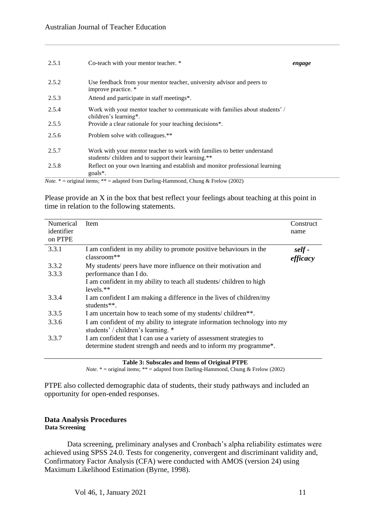| 2.5.1                       | Co-teach with your mentor teacher. *                                                                                           | engage |
|-----------------------------|--------------------------------------------------------------------------------------------------------------------------------|--------|
| 2.5.2                       | Use feedback from your mentor teacher, university advisor and peers to<br>improve practice. *                                  |        |
| 2.5.3                       | Attend and participate in staff meetings*.                                                                                     |        |
| 2.5.4                       | Work with your mentor teacher to communicate with families about students' /<br>children's learning*.                          |        |
| 2.5.5                       | Provide a clear rationale for your teaching decisions*.                                                                        |        |
| 2.5.6                       | Problem solve with colleagues.**                                                                                               |        |
| 2.5.7                       | Work with your mentor teacher to work with families to better understand<br>students/children and to support their learning.** |        |
| 2.5.8                       | Reflect on your own learning and establish and monitor professional learning<br>goals <sup>*</sup> .                           |        |
| $\mathbf{v}$ . $\mathbf{v}$ |                                                                                                                                |        |

*Note.* \* = original items; \*\* = adapted from Darling-Hammond, Chung & Frelow (2002)

Please provide an X in the box that best reflect your feelings about teaching at this point in time in relation to the following statements.

| Numerical<br>identifier<br>on PTPE | Item                                                                                                                                     | Construct<br>name  |
|------------------------------------|------------------------------------------------------------------------------------------------------------------------------------------|--------------------|
| 3.3.1                              | I am confident in my ability to promote positive behaviours in the<br>$classroom**$                                                      | self -<br>efficacy |
| 3.3.2                              | My students/ peers have more influence on their motivation and                                                                           |                    |
| 3.3.3                              | performance than I do.                                                                                                                   |                    |
|                                    | I am confident in my ability to teach all students/ children to high<br>$levels.**$                                                      |                    |
| 3.3.4                              | I am confident I am making a difference in the lives of children/my<br>students $**$ .                                                   |                    |
| 3.3.5                              | I am uncertain how to teach some of my students/children**.                                                                              |                    |
| 3.3.6                              | I am confident of my ability to integrate information technology into my<br>students' / children's learning. *                           |                    |
| 3.3.7                              | I am confident that I can use a variety of assessment strategies to<br>determine student strength and needs and to inform my programme*. |                    |

**Table 3: Subscales and Items of Original PTPE**

*Note.* \* = original items; \*\* = adapted from Darling-Hammond, Chung & Frelow (2002)

PTPE also collected demographic data of students, their study pathways and included an opportunity for open-ended responses.

# **Data Analysis Procedures Data Screening**

Data screening, preliminary analyses and Cronbach's alpha reliability estimates were achieved using SPSS 24.0. Tests for congenerity, convergent and discriminant validity and, Confirmatory Factor Analysis (CFA) were conducted with AMOS (version 24) using Maximum Likelihood Estimation (Byrne, 1998).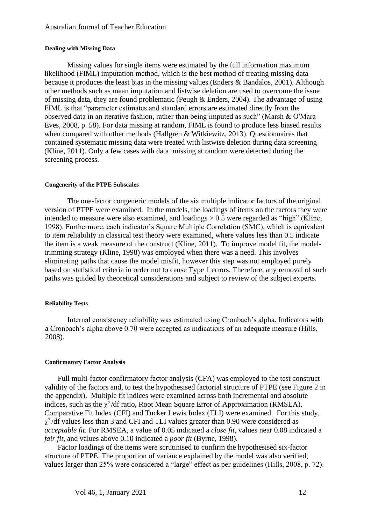#### **Dealing with Missing Data**

Missing values for single items were estimated by the full information maximum likelihood (FIML) imputation method, which is the best method of treating missing data because it produces the least bias in the missing values (Enders & Bandalos, 2001). Although other methods such as mean imputation and listwise deletion are used to overcome the issue of missing data, they are found problematic (Peugh & Enders, 2004). The advantage of using FIML is that "parameter estimates and standard errors are estimated directly from the observed data in an iterative fashion, rather than being imputed as such" (Marsh & O'Mara-Eves, 2008, p. 58). For data missing at random, FIML is found to produce less biased results when compared with other methods (Hallgren & Witkiewitz, 2013). Questionnaires that contained systematic missing data were treated with listwise deletion during data screening (Kline, 2011). Only a few cases with data missing at random were detected during the screening process.

#### **Congenerity of the PTPE Subscales**

The one-factor congeneric models of the six multiple indicator factors of the original version of PTPE were examined. In the models, the loadings of items on the factors they were intended to measure were also examined, and loadings  $> 0.5$  were regarded as "high" (Kline, 1998). Furthermore, each indicator's Square Multiple Correlation (SMC), which is equivalent to item reliability in classical test theory were examined, where values less than 0.5 indicate the item is a weak measure of the construct (Kline, 2011). To improve model fit, the modeltrimming strategy (Kline, 1998) was employed when there was a need. This involves eliminating paths that cause the model misfit, however this step was not employed purely based on statistical criteria in order not to cause Type 1 errors. Therefore, any removal of such paths was guided by theoretical considerations and subject to review of the subject experts.

# **Reliability Tests**

Internal consistency reliability was estimated using Cronbach's alpha. Indicators with a Cronbach's alpha above 0.70 were accepted as indications of an adequate measure (Hills, 2008).

# **Confirmatory Factor Analysis**

Full multi-factor confirmatory factor analysis (CFA) was employed to the test construct validity of the factors and, to test the hypothesised factorial structure of PTPE (see Figure 2 in the appendix). Multiple fit indices were examined across both incremental and absolute indices, such as the  $\chi^2$ /df ratio, Root Mean Square Error of Approximation (RMSEA), Comparative Fit Index (CFI) and Tucker Lewis Index (TLI) were examined. For this study,  $\chi^2$ /df values less than 3 and CFI and TLI values greater than 0.90 were considered as *acceptable fit*. For RMSEA, a value of 0.05 indicated a *close fit*, values near 0.08 indicated a *fair fit*, and values above 0.10 indicated a *poor fit* (Byrne, 1998).

Factor loadings of the items were scrutinised to confirm the hypothesised six-factor structure of PTPE. The proportion of variance explained by the model was also verified, values larger than 25% were considered a "large" effect as per guidelines (Hills, 2008, p. 72).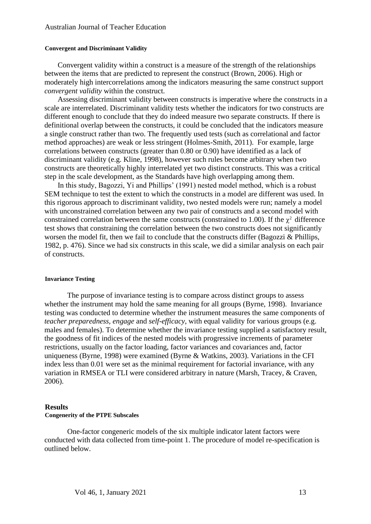#### **Convergent and Discriminant Validity**

Convergent validity within a construct is a measure of the strength of the relationships between the items that are predicted to represent the construct (Brown, 2006). High or moderately high intercorrelations among the indicators measuring the same construct support *convergent validity* within the construct.

Assessing discriminant validity between constructs is imperative where the constructs in a scale are interrelated. Discriminant validity tests whether the indicators for two constructs are different enough to conclude that they do indeed measure two separate constructs. If there is definitional overlap between the constructs, it could be concluded that the indicators measure a single construct rather than two. The frequently used tests (such as correlational and factor method approaches) are weak or less stringent (Holmes-Smith, 2011). For example, large correlations between constructs (greater than 0.80 or 0.90) have identified as a lack of discriminant validity (e.g. Kline, 1998), however such rules become arbitrary when two constructs are theoretically highly interrelated yet two distinct constructs. This was a critical step in the scale development, as the Standards have high overlapping among them.

In this study, Bagozzi, Yi and Phillips' (1991) nested model method, which is a robust SEM technique to test the extent to which the constructs in a model are different was used. In this rigorous approach to discriminant validity, two nested models were run; namely a model with unconstrained correlation between any two pair of constructs and a second model with constrained correlation between the same constructs (constrained to 1.00). If the  $\chi^2$  difference test shows that constraining the correlation between the two constructs does not significantly worsen the model fit, then we fail to conclude that the constructs differ (Bagozzi & Phillips, 1982, p. 476). Since we had six constructs in this scale, we did a similar analysis on each pair of constructs.

#### **Invariance Testing**

The purpose of invariance testing is to compare across distinct groups to assess whether the instrument may hold the same meaning for all groups (Byrne, 1998). Invariance testing was conducted to determine whether the instrument measures the same components of *teacher preparedness, engage* and *self-efficacy*, with equal validity for various groups (e.g. males and females). To determine whether the invariance testing supplied a satisfactory result, the goodness of fit indices of the nested models with progressive increments of parameter restrictions, usually on the factor loading, factor variances and covariances and, factor uniqueness (Byrne, 1998) were examined (Byrne & Watkins, 2003). Variations in the CFI index less than 0.01 were set as the minimal requirement for factorial invariance, with any variation in RMSEA or TLI were considered arbitrary in nature (Marsh, Tracey, & Craven, 2006).

### **Results**

#### **Congenerity of the PTPE Subscales**

One-factor congeneric models of the six multiple indicator latent factors were conducted with data collected from time-point 1. The procedure of model re-specification is outlined below.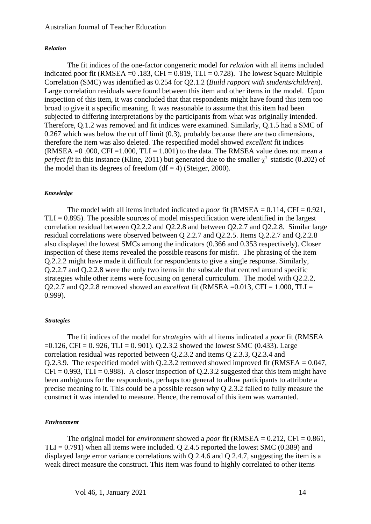#### *Relation*

The fit indices of the one-factor congeneric model for *relation* with all items included indicated poor fit (RMSEA =  $0.183$ , CFI =  $0.819$ , TLI =  $0.728$ ). The lowest Square Multiple Correlation (SMC) was identified as 0.254 for Q2.1.2 (*Build rapport with students/children*). Large correlation residuals were found between this item and other items in the model. Upon inspection of this item, it was concluded that that respondents might have found this item too broad to give it a specific meaning. It was reasonable to assume that this item had been subjected to differing interpretations by the participants from what was originally intended. Therefore, Q.1.2 was removed and fit indices were examined. Similarly, Q.1.5 had a SMC of 0.267 which was below the cut off limit (0.3), probably because there are two dimensions, therefore the item was also deleted. The respecified model showed *excellent* fit indices (RMSEA  $=$ 0.000, CFI  $=$ 1.000, TLI  $=$  1.001) to the data. The RMSEA value does not mean a *perfect fit* in this instance (Kline, 2011) but generated due to the smaller  $\chi^2$  statistic (0.202) of the model than its degrees of freedom  $(df = 4)$  (Steiger, 2000).

#### *Knowledge*

The model with all items included indicated a *poor* fit (RMSEA =  $0.114$ , CFI =  $0.921$ ,  $TLI = 0.895$ . The possible sources of model misspecification were identified in the largest correlation residual between Q2.2.2 and Q2.2.8 and between Q2.2.7 and Q2.2.8. Similar large residual correlations were observed between Q 2.2.7 and Q2.2.5. Items Q.2.2.7 and Q.2.2.8 also displayed the lowest SMCs among the indicators (0.366 and 0.353 respectively). Closer inspection of these items revealed the possible reasons for misfit. The phrasing of the item Q.2.2.2 might have made it difficult for respondents to give a single response. Similarly, Q.2.2.7 and Q.2.2.8 were the only two items in the subscale that centred around specific strategies while other items were focusing on general curriculum. The model with Q2.2.2, Q2.2.7 and Q2.2.8 removed showed an *excellent* fit (RMSEA =0.013, CFI = 1.000, TLI = 0.999).

#### *Strategies*

The fit indices of the model for *strategies* with all items indicated a *poor* fit (RMSEA  $=0.126$ , CFI = 0.926, TLI = 0.901). Q.2.3.2 showed the lowest SMC (0.433). Large correlation residual was reported between Q.2.3.2 and items Q 2.3.3, Q2.3.4 and Q.2.3.9. The respecified model with  $Q.2.3.2$  removed showed improved fit (RMSEA =  $0.047$ ,  $CFI = 0.993$ , TLI = 0.988). A closer inspection of 0.2.3.2 suggested that this item might have been ambiguous for the respondents, perhaps too general to allow participants to attribute a precise meaning to it. This could be a possible reason why Q 2.3.2 failed to fully measure the construct it was intended to measure. Hence, the removal of this item was warranted.

#### *Environment*

The original model for *environment* showed a *poor* fit (RMSEA = 0.212, CFI = 0.861, TLI =  $0.791$ ) when all items were included. O 2.4.5 reported the lowest SMC (0.389) and displayed large error variance correlations with Q 2.4.6 and Q 2.4.7, suggesting the item is a weak direct measure the construct. This item was found to highly correlated to other items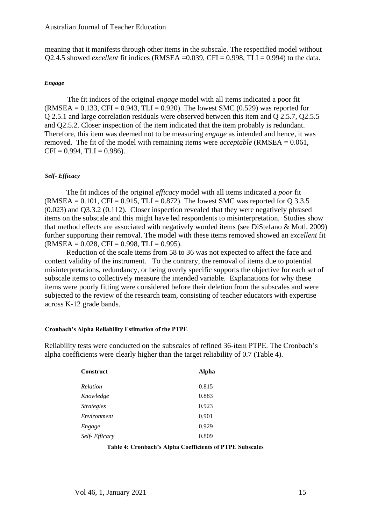meaning that it manifests through other items in the subscale. The respecified model without Q2.4.5 showed *excellent* fit indices (RMSEA =0.039, CFI = 0.998, TLI = 0.994) to the data.

# *Engage*

The fit indices of the original *engage* model with all items indicated a poor fit  $(RMSEA = 0.133, CFI = 0.943, TLI = 0.920$ . The lowest SMC (0.529) was reported for Q 2.5.1 and large correlation residuals were observed between this item and Q 2.5.7, Q2.5.5 and Q2.5.2. Closer inspection of the item indicated that the item probably is redundant. Therefore, this item was deemed not to be measuring *engage* as intended and hence, it was removed. The fit of the model with remaining items were *acceptable* (RMSEA = 0.061,  $CFI = 0.994$ ,  $TLI = 0.986$ ).

# *Self- Efficacy*

The fit indices of the original *efficacy* model with all items indicated a *poor* fit  $(RMSEA = 0.101, CFI = 0.915, TLI = 0.872$ . The lowest SMC was reported for Q 3.3.5 (0.023) and Q3.3.2 (0.112). Closer inspection revealed that they were negatively phrased items on the subscale and this might have led respondents to misinterpretation. Studies show that method effects are associated with negatively worded items (see DiStefano & Motl, 2009) further supporting their removal. The model with these items removed showed an *excellent* fit  $(RMSEA = 0.028, CFI = 0.998, TLI = 0.995).$ 

Reduction of the scale items from 58 to 36 was not expected to affect the face and content validity of the instrument. To the contrary, the removal of items due to potential misinterpretations, redundancy, or being overly specific supports the objective for each set of subscale items to collectively measure the intended variable. Explanations for why these items were poorly fitting were considered before their deletion from the subscales and were subjected to the review of the research team, consisting of teacher educators with expertise across K-12 grade bands.

# **Cronbach's Alpha Reliability Estimation of the PTPE**

Reliability tests were conducted on the subscales of refined 36-item PTPE. The Cronbach's alpha coefficients were clearly higher than the target reliability of 0.7 (Table 4).

| <b>Construct</b>                | <b>Alpha</b> |
|---------------------------------|--------------|
| Relation                        | 0.815        |
| Knowledge                       | 0.883        |
| <i><u><b>Strategies</b></u></i> | 0.923        |
| Environment                     | 0.901        |
| Engage                          | 0.929        |
| Self-Efficacy                   | 0.809        |

| Table 4: Cronbach's Alpha Coefficients of PTPE Subscales |  |  |
|----------------------------------------------------------|--|--|
|----------------------------------------------------------|--|--|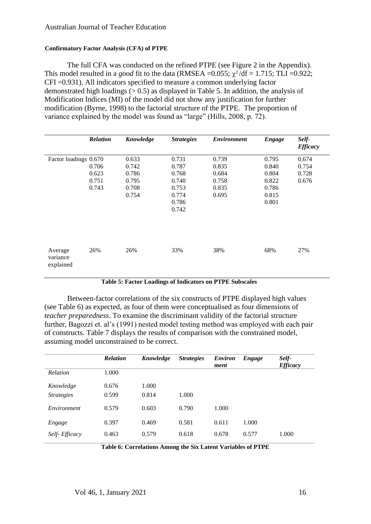# **Confirmatory Factor Analysis (CFA) of PTPE**

The full CFA was conducted on the refined PTPE (see Figure 2 in the Appendix). This model resulted in a *good* fit to the data (RMSEA =  $0.055$ ;  $\chi^2$ /df = 1.715; TLI =  $0.922$ ; CFI =0.931). All indicators specified to measure a common underlying factor demonstrated high loadings  $(0.5)$  as displayed in Table 5. In addition, the analysis of Modification Indices (MI) of the model did not show any justification for further modification (Byrne, 1998) to the factorial structure of the PTPE. The proportion of variance explained by the model was found as "large" (Hills, 2008, p. 72).

|                                  | <b>Relation</b>                  | Knowledge                                          | <b>Strategies</b>                                                    | <b>Environment</b>                                 | <b>Engage</b>                                               | Self-<br><b>Efficacy</b>         |
|----------------------------------|----------------------------------|----------------------------------------------------|----------------------------------------------------------------------|----------------------------------------------------|-------------------------------------------------------------|----------------------------------|
| Factor loadings 0.670            | 0.706<br>0.623<br>0.751<br>0.743 | 0.633<br>0.742<br>0.786<br>0.795<br>0.708<br>0.754 | 0.731<br>0.787<br>0.768<br>0.740<br>0.753<br>0.774<br>0.786<br>0.742 | 0.739<br>0.835<br>0.684<br>0.758<br>0.835<br>0.695 | 0.795<br>0.840<br>0.804<br>0.822<br>0.786<br>0.815<br>0.801 | 0.674<br>0.754<br>0.728<br>0.676 |
| Average<br>variance<br>explained | 26%                              | 26%                                                | 33%                                                                  | 38%                                                | 68%                                                         | 27%                              |

# **Table 5: Factor Loadings of Indicators on PTPE Subscales**

Between-factor correlations of the six constructs of PTPE displayed high values (see Table 6) as expected, as four of them were conceptualised as four dimensions of *teacher preparedness*. To examine the discriminant validity of the factorial structure further, Bagozzi et. al's (1991) nested model testing method was employed with each pair of constructs. Table 7 displays the results of comparison with the constrained model, assuming model unconstrained to be correct.

| <b>Relation</b> | Knowledge | <b>Strategies</b> | <i>Environ</i><br>ment | <b>Engage</b> | Self-<br><b>Efficacy</b> |
|-----------------|-----------|-------------------|------------------------|---------------|--------------------------|
| 1.000           |           |                   |                        |               |                          |
| 0.676           | 1.000     |                   |                        |               |                          |
| 0.599           | 0.814     | 1.000             |                        |               |                          |
| 0.579           | 0.603     | 0.790             | 1.000                  |               |                          |
| 0.397           | 0.469     | 0.581             | 0.611                  | 1.000         |                          |
| 0.463           | 0.579     | 0.618             | 0.678                  | 0.577         | 1.000                    |
|                 |           |                   |                        |               |                          |

**Table 6: Correlations Among the Six Latent Variables of PTPE**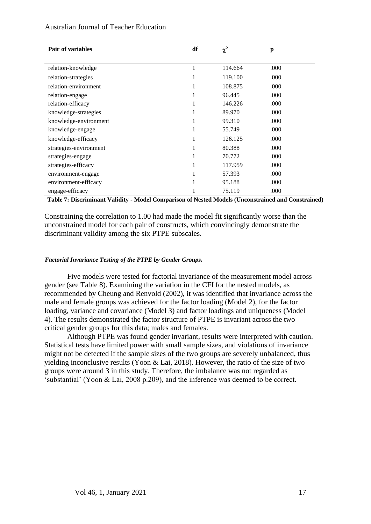| Pair of variables      | df | $\chi^2$ | p    |  |
|------------------------|----|----------|------|--|
|                        |    |          |      |  |
| relation-knowledge     | 1  | 114.664  | .000 |  |
| relation-strategies    | 1  | 119.100  | .000 |  |
| relation-environment   | 1  | 108.875  | .000 |  |
| relation-engage        | 1  | 96.445   | .000 |  |
| relation-efficacy      | 1  | 146.226  | .000 |  |
| knowledge-strategies   | 1  | 89.970   | .000 |  |
| knowledge-environment  | 1  | 99.310   | .000 |  |
| knowledge-engage       | 1  | 55.749   | .000 |  |
| knowledge-efficacy     | 1  | 126.125  | .000 |  |
| strategies-environment | 1  | 80.388   | .000 |  |
| strategies-engage      | 1  | 70.772   | .000 |  |
| strategies-efficacy    | 1  | 117.959  | .000 |  |
| environment-engage     | 1  | 57.393   | .000 |  |
| environment-efficacy   |    | 95.188   | .000 |  |
| engage-efficacy        |    | 75.119   | .000 |  |

**Table 7: Discriminant Validity - Model Comparison of Nested Models (Unconstrained and Constrained)**

Constraining the correlation to 1.00 had made the model fit significantly worse than the unconstrained model for each pair of constructs, which convincingly demonstrate the discriminant validity among the six PTPE subscales.

# *Factorial Invariance Testing of the PTPE by Gender Groups.*

Five models were tested for factorial invariance of the measurement model across gender (see Table 8). Examining the variation in the CFI for the nested models, as recommended by Cheung and Renvold (2002), it was identified that invariance across the male and female groups was achieved for the factor loading (Model 2), for the factor loading, variance and covariance (Model 3) and factor loadings and uniqueness (Model 4). The results demonstrated the factor structure of PTPE is invariant across the two critical gender groups for this data; males and females.

Although PTPE was found gender invariant, results were interpreted with caution. Statistical tests have limited power with small sample sizes, and violations of invariance might not be detected if the sample sizes of the two groups are severely unbalanced, thus yielding inconclusive results (Yoon & Lai, 2018). However, the ratio of the size of two groups were around 3 in this study. Therefore, the imbalance was not regarded as 'substantial' (Yoon & Lai, 2008 p.209), and the inference was deemed to be correct.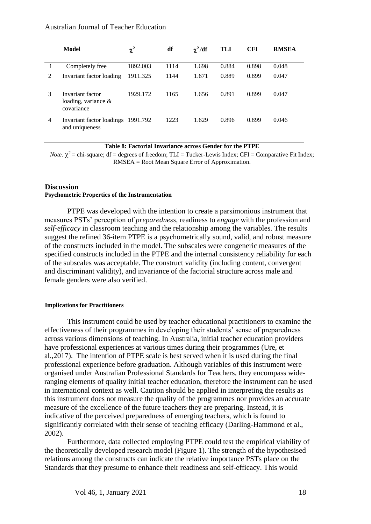|   | Model                                                    | $\chi^2$ | df   | $\chi^2/df$ | TLI   | <b>CFI</b> | <b>RMSEA</b> |
|---|----------------------------------------------------------|----------|------|-------------|-------|------------|--------------|
|   | Completely free                                          | 1892.003 | 1114 | 1.698       | 0.884 | 0.898      | 0.048        |
| 2 | Invariant factor loading                                 | 1911.325 | 1144 | 1.671       | 0.889 | 0.899      | 0.047        |
| 3 | Invariant factor<br>loading, variance $\&$<br>covariance | 1929.172 | 1165 | 1.656       | 0.891 | 0.899      | 0.047        |
| 4 | Invariant factor loadings<br>and uniqueness              | 1991.792 | 1223 | 1.629       | 0.896 | 0.899      | 0.046        |

**Table 8: Factorial Invariance across Gender for the PTPE** 

*Note.*  $\chi^2$  = chi-square; df = degrees of freedom; TLI = Tucker-Lewis Index; CFI = Comparative Fit Index; RMSEA = Root Mean Square Error of Approximation.

# **Discussion**

# **Psychometric Properties of the Instrumentation**

PTPE was developed with the intention to create a parsimonious instrument that measures PSTs' perception of *preparedness*, readiness to *engage* with the profession and *self-efficacy* in classroom teaching and the relationship among the variables. The results suggest the refined 36-item PTPE is a psychometrically sound, valid, and robust measure of the constructs included in the model. The subscales were congeneric measures of the specified constructs included in the PTPE and the internal consistency reliability for each of the subscales was acceptable. The construct validity (including content, convergent and discriminant validity), and invariance of the factorial structure across male and female genders were also verified.

# **Implications for Practitioners**

This instrument could be used by teacher educational practitioners to examine the effectiveness of their programmes in developing their students' sense of preparedness across various dimensions of teaching. In Australia, initial teacher education providers have professional experiences at various times during their programmes (Ure, et al.,2017). The intention of PTPE scale is best served when it is used during the final professional experience before graduation. Although variables of this instrument were organised under Australian Professional Standards for Teachers, they encompass wideranging elements of quality initial teacher education, therefore the instrument can be used in international context as well. Caution should be applied in interpreting the results as this instrument does not measure the quality of the programmes nor provides an accurate measure of the excellence of the future teachers they are preparing. Instead, it is indicative of the perceived preparedness of emerging teachers, which is found to significantly correlated with their sense of teaching efficacy (Darling-Hammond et al., 2002).

Furthermore, data collected employing PTPE could test the empirical viability of the theoretically developed research model (Figure 1). The strength of the hypothesised relations among the constructs can indicate the relative importance PSTs place on the Standards that they presume to enhance their readiness and self-efficacy. This would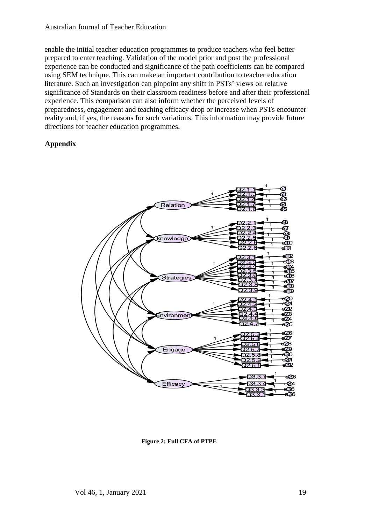enable the initial teacher education programmes to produce teachers who feel better prepared to enter teaching. Validation of the model prior and post the professional experience can be conducted and significance of the path coefficients can be compared using SEM technique. This can make an important contribution to teacher education literature. Such an investigation can pinpoint any shift in PSTs' views on relative significance of Standards on their classroom readiness before and after their professional experience. This comparison can also inform whether the perceived levels of preparedness, engagement and teaching efficacy drop or increase when PSTs encounter reality and, if yes, the reasons for such variations. This information may provide future directions for teacher education programmes.

# **Appendix**



**Figure 2: Full CFA of PTPE**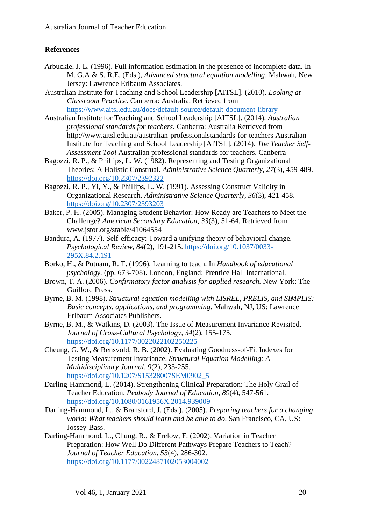# **References**

- Arbuckle, J. L. (1996). Full information estimation in the presence of incomplete data. In M. G.A & S. R.E. (Eds.), *Advanced structural equation modelling*. Mahwah, New Jersey: Lawrence Erlbaum Associates.
- Australian Institute for Teaching and School Leadership [AITSL]. (2010). *Looking at Classroom Practice*. Canberra: Australia. Retrieved from <https://www.aitsl.edu.au/docs/default-source/default-document-library>
- Australian Institute for Teaching and School Leadership [AITSL]. (2014). *Australian professional standards for teachers*. Canberra: Australia Retrieved from http://www.aitsl.edu.au/australian-professionalstandards-for-teachers Australian Institute for Teaching and School Leadership [AITSL]. (2014). *The Teacher Self-Assessment Tool* Australian professional standards for teachers. Canberra
- Bagozzi, R. P., & Phillips, L. W. (1982). Representing and Testing Organizational Theories: A Holistic Construal. *Administrative Science Quarterly, 27*(3), 459-489. <https://doi.org/10.2307/2392322>
- Bagozzi, R. P., Yi, Y., & Phillips, L. W. (1991). Assessing Construct Validity in Organizational Research. *Administrative Science Quarterly, 36*(3), 421-458. <https://doi.org/10.2307/2393203>
- Baker, P. H. (2005). Managing Student Behavior: How Ready are Teachers to Meet the Challenge? *American Secondary Education, 33*(3), 51-64. Retrieved from www.jstor.org/stable/41064554
- Bandura, A. (1977). Self-efficacy: Toward a unifying theory of behavioral change. *Psychological Review, 84*(2), 191-215. [https://doi.org/10.1037/0033-](https://doi.org/10.1037/0033-295X.84.2.191) [295X.84.2.191](https://doi.org/10.1037/0033-295X.84.2.191)
- Borko, H., & Putnam, R. T. (1996). Learning to teach. In *Handbook of educational psychology.* (pp. 673-708). London, England: Prentice Hall International.
- Brown, T. A. (2006). *Confirmatory factor analysis for applied research.* New York: The Guilford Press.
- Byrne, B. M. (1998). *Structural equation modelling with LISREL, PRELIS, and SIMPLIS: Basic concepts, applications, and programming*. Mahwah, NJ, US: Lawrence Erlbaum Associates Publishers.
- Byrne, B. M., & Watkins, D. (2003). The Issue of Measurement Invariance Revisited. *Journal of Cross-Cultural Psychology, 34*(2), 155-175. <https://doi.org/10.1177/0022022102250225>
- Cheung, G. W., & Rensvold, R. B. (2002). Evaluating Goodness-of-Fit Indexes for Testing Measurement Invariance. *Structural Equation Modelling: A Multidisciplinary Journal, 9*(2), 233-255. [https://doi.org/10.1207/S15328007SEM0902\\_5](https://doi.org/10.1207/S15328007SEM0902_5)
- Darling-Hammond, L. (2014). Strengthening Clinical Preparation: The Holy Grail of Teacher Education. *Peabody Journal of Education, 89*(4), 547-561. <https://doi.org/10.1080/0161956X.2014.939009>
- Darling-Hammond, L., & Bransford, J. (Eds.). (2005). *Preparing teachers for a changing world: What teachers should learn and be able to do*. San Francisco, CA, US: Jossey-Bass.
- Darling-Hammond, L., Chung, R., & Frelow, F. (2002). Variation in Teacher Preparation: How Well Do Different Pathways Prepare Teachers to Teach? *Journal of Teacher Education, 53*(4), 286-302. <https://doi.org/10.1177/0022487102053004002>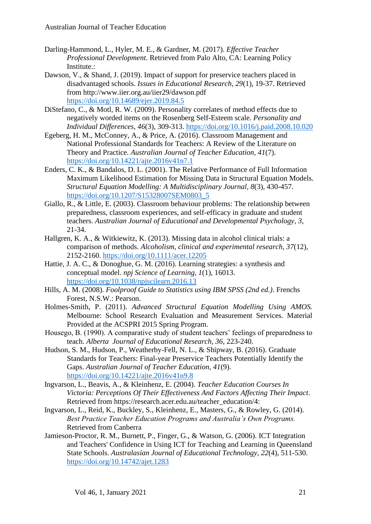- Darling-Hammond, L., Hyler, M. E., & Gardner, M. (2017). *Effective Teacher Professional Development*. Retrieved from Palo Alto, CA: Learning Policy Institute.:
- Dawson, V., & Shand, J. (2019). Impact of support for preservice teachers placed in disadvantaged schools. *Issues in Educational Research, 29*(1), 19-37. Retrieved from http://www.iier.org.au/iier29/dawson.pdf <https://doi.org/10.14689/ejer.2019.84.5>
- DiStefano, C., & Motl, R. W. (2009). Personality correlates of method effects due to negatively worded items on the Rosenberg Self-Esteem scale. *Personality and Individual Differences, 46*(3), 309-313.<https://doi.org/10.1016/j.paid.2008.10.020>
- Egeberg, H. M., McConney, A., & Price, A. (2016). Classroom Management and National Professional Standards for Teachers: A Review of the Literature on Theory and Practice. *Australian Journal of Teacher Education, 41*(7). <https://doi.org/10.14221/ajte.2016v41n7.1>
- Enders, C. K., & Bandalos, D. L. (2001). The Relative Performance of Full Information Maximum Likelihood Estimation for Missing Data in Structural Equation Models. *Structural Equation Modelling: A Multidisciplinary Journal, 8*(3), 430-457. [https://doi.org/10.1207/S15328007SEM0803\\_5](https://doi.org/10.1207/S15328007SEM0803_5)
- Giallo, R., & Little, E. (2003). Classroom behaviour problems: The relationship between preparedness, classroom experiences, and self-efficacy in graduate and student teachers. *Australian Journal of Educational and Developmental Psychology, 3*, 21-34.
- Hallgren, K. A., & Witkiewitz, K. (2013). Missing data in alcohol clinical trials: a comparison of methods. *Alcoholism, clinical and experimental research, 37*(12), 2152-2160.<https://doi.org/10.1111/acer.12205>
- Hattie, J. A. C., & Donoghue, G. M. (2016). Learning strategies: a synthesis and conceptual model. *npj Science of Learning, 1*(1), 16013. <https://doi.org/10.1038/npjscilearn.2016.13>
- Hills, A. M. (2008). *Foolproof Guide to Statistics using IBM SPSS (2nd ed.)*. Frenchs Forest, N.S.W.: Pearson.
- Holmes-Smith, P. (2011). *Advanced Structural Equation Modelling Using AMOS.* Melbourne: School Research Evaluation and Measurement Services. Material Provided at the ACSPRI 2015 Spring Program.
- Housego, B. (1990). A comparative study of student teachers' feelings of preparedness to teach. *Alberta Journal of Educational Research, 36*, 223-240.
- Hudson, S. M., Hudson, P., Weatherby-Fell, N. L., & Shipway, B. (2016). Graduate Standards for Teachers: Final-year Preservice Teachers Potentially Identify the Gaps. *Australian Journal of Teacher Education, 41*(9). <https://doi.org/10.14221/ajte.2016v41n9.8>
- Ingvarson, L., Beavis, A., & Kleinhenz, E. (2004). *Teacher Education Courses In Victoria: Perceptions Of Their Effectiveness And Factors Affecting Their Impact*. Retrieved from https://research.acer.edu.au/teacher\_education/4:
- Ingvarson, L., Reid, K., Buckley, S., Kleinhenz, E., Masters, G., & Rowley, G. (2014). *Best Practice Teacher Education Programs and Australia's Own Programs.* Retrieved from Canberra
- Jamieson-Proctor, R. M., Burnett, P., Finger, G., & Watson, G. (2006). ICT Integration and Teachers' Confidence in Using ICT for Teaching and Learning in Queensland State Schools. *Australasian Journal of Educational Technology, 22*(4), 511-530. <https://doi.org/10.14742/ajet.1283>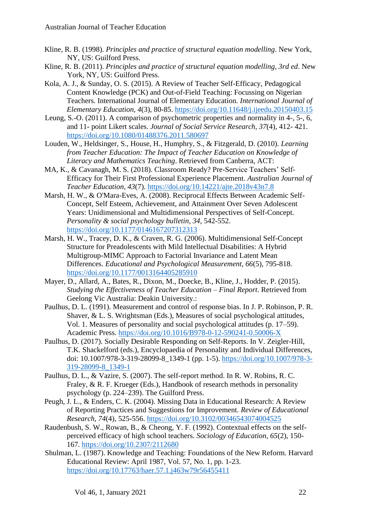- Kline, R. B. (1998). *Principles and practice of structural equation modelling*. New York, NY, US: Guilford Press.
- Kline, R. B. (2011). *Principles and practice of structural equation modelling, 3rd ed*. New York, NY, US: Guilford Press.
- Kola, A. J., & Sunday, O. S. (2015). A Review of Teacher Self-Efficacy, Pedagogical Content Knowledge (PCK) and Out-of-Field Teaching: Focussing on Nigerian Teachers. International Journal of Elementary Education. *International Journal of Elementary Education, 4*(3), 80-85.<https://doi.org/10.11648/j.ijeedu.20150403.15>
- Leung, S.-O. (2011). A comparison of psychometric properties and normality in 4-, 5-, 6, and 11- point Likert scales. *Journal of Social Service Research, 37*(4), 412- 421. <https://doi.org/10.1080/01488376.2011.580697>
- Louden, W., Heldsinger, S., House, H., Humphry, S., & Fitzgerald, D. (2010). *Learning from Teacher Education: The Impact of Teacher Education on Knowledge of Literacy and Mathematics Teaching*. Retrieved from Canberra, ACT:
- MA, K., & Cavanagh, M. S. (2018). Classroom Ready? Pre-Service Teachers' Self-Efficacy for Their First Professional Experience Placement. *Australian Journal of Teacher Education, 43*(7).<https://doi.org/10.14221/ajte.2018v43n7.8>
- Marsh, H. W., & O'Mara-Eves, A. (2008). Reciprocal Effects Between Academic Self-Concept, Self Esteem, Achievement, and Attainment Over Seven Adolescent Years: Unidimensional and Multidimensional Perspectives of Self-Concept. *Personality & social psychology bulletin, 34*, 542-552. <https://doi.org/10.1177/0146167207312313>
- Marsh, H. W., Tracey, D. K., & Craven, R. G. (2006). Multidimensional Self-Concept Structure for Preadolescents with Mild Intellectual Disabilities: A Hybrid Multigroup-MIMC Approach to Factorial Invariance and Latent Mean Differences. *Educational and Psychological Measurement, 66*(5), 795-818. <https://doi.org/10.1177/0013164405285910>
- Mayer, D., Allard, A., Bates, R., Dixon, M., Doecke, B., Kline, J., Hodder, P. (2015). *Studying the Effectiveness of Teacher Education – Final Report*. Retrieved from Geelong Vic Australia: Deakin University.:
- Paulhus, D. L. (1991). Measurement and control of response bias. In J. P. Robinson, P. R. Shaver, & L. S. Wrightsman (Eds.), Measures of social psychological attitudes, Vol. 1. Measures of personality and social psychological attitudes (p. 17–59). Academic Press.<https://doi.org/10.1016/B978-0-12-590241-0.50006-X>
- Paulhus, D. (2017). Socially Desirable Responding on Self-Reports. In V. Zeigler-Hill, T.K. Shackelford (eds.), Encyclopaedia of Personality and Individual Differences, doi: 10.1007/978-3-319-28099-8\_1349-1 (pp. 1-5). [https://doi.org/10.1007/978-3-](https://doi.org/10.1007/978-3-319-28099-8_1349-1) [319-28099-8\\_1349-1](https://doi.org/10.1007/978-3-319-28099-8_1349-1)
- Paulhus, D. L., & Vazire, S. (2007). The self-report method. In R. W. Robins, R. C. Fraley, & R. F. Krueger (Eds.), Handbook of research methods in personality psychology (p. 224–239). The Guilford Press.
- Peugh, J. L., & Enders, C. K. (2004). Missing Data in Educational Research: A Review of Reporting Practices and Suggestions for Improvement. *Review of Educational Research, 74*(4), 525-556.<https://doi.org/10.3102/00346543074004525>
- Raudenbush, S. W., Rowan, B., & Cheong, Y. F. (1992). Contextual effects on the selfperceived efficacy of high school teachers. *Sociology of Education, 65*(2), 150- 167.<https://doi.org/10.2307/2112680>
- Shulman, L. (1987). Knowledge and Teaching: Foundations of the New Reform. Harvard Educational Review: April 1987, Vol. 57, No. 1, pp. 1-23. <https://doi.org/10.17763/haer.57.1.j463w79r56455411>